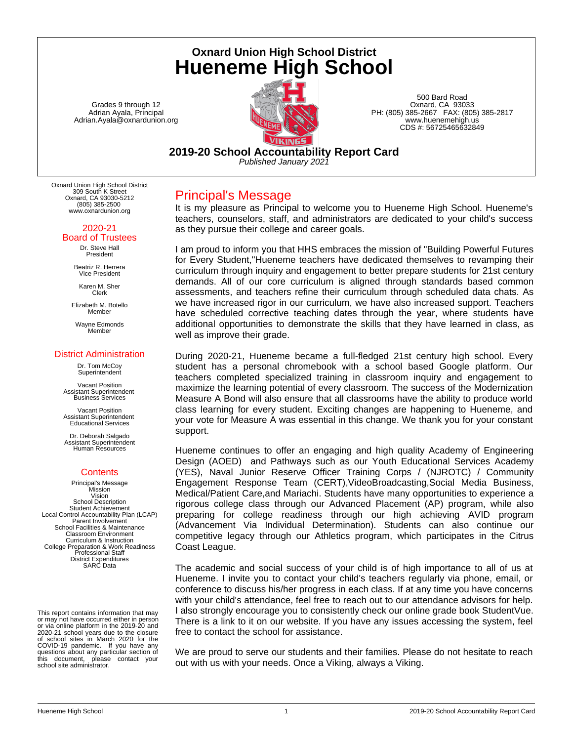**Oxnard Union High School District Hueneme High School**

Grades 9 through 12 Adrian Ayala, Principal Adrian.Ayala@oxnardunion.org



500 Bard Road Oxnard, CA 93033 PH: (805) 385-2667 FAX: (805) 385-2817 www.huenemehigh.us CDS #: 56725465632849

**2019-20 School Accountability Report Card** *Published January 2021*

Oxnard Union High School District 309 South K Street Oxnard, CA 93030-5212 (805) 385-2500 www.oxnardunion.org

#### 2020-21 Board of Trustees

Dr. Steve Hall President

Beatriz R. Herrera Vice President

Karen M. Sher Clerk

Elizabeth M. Botello Member

Wayne Edmonds Member

#### District Administration

Dr. Tom McCoy Superintendent

Vacant Position Assistant Superintendent Business Services

Vacant Position Assistant Superintendent Educational Services

Dr. Deborah Salgado Assistant Superintendent Human Resources

## **Contents**

Principal's Message Mission Vision School Description Student Achievement Local Control Accountability Plan (LCAP) Parent Involvement School Facilities & Maintenance Classroom Environment Curriculum & Instruction College Preparation & Work Readiness Professional Staff District Expenditures SARC Data

This report contains information that may or may not have occurred either in person or via online platform in the 2019-20 and 2020-21 school years due to the closure of school sites in March 2020 for the COVID-19 pandemic. If you have any questions about any particular section of this document, please contact your school site administrator.

## Principal's Message

It is my pleasure as Principal to welcome you to Hueneme High School. Hueneme's teachers, counselors, staff, and administrators are dedicated to your child's success as they pursue their college and career goals.

I am proud to inform you that HHS embraces the mission of "Building Powerful Futures for Every Student,"Hueneme teachers have dedicated themselves to revamping their curriculum through inquiry and engagement to better prepare students for 21st century demands. All of our core curriculum is aligned through standards based common assessments, and teachers refine their curriculum through scheduled data chats. As we have increased rigor in our curriculum, we have also increased support. Teachers have scheduled corrective teaching dates through the year, where students have additional opportunities to demonstrate the skills that they have learned in class, as well as improve their grade.

During 2020-21, Hueneme became a full-fledged 21st century high school. Every student has a personal chromebook with a school based Google platform. Our teachers completed specialized training in classroom inquiry and engagement to maximize the learning potential of every classroom. The success of the Modernization Measure A Bond will also ensure that all classrooms have the ability to produce world class learning for every student. Exciting changes are happening to Hueneme, and your vote for Measure A was essential in this change. We thank you for your constant support.

Hueneme continues to offer an engaging and high quality Academy of Engineering Design (AOED) and Pathways such as our Youth Educational Services Academy (YES), Naval Junior Reserve Officer Training Corps / (NJROTC) / Community Engagement Response Team (CERT),VideoBroadcasting,Social Media Business, Medical/Patient Care,and Mariachi. Students have many opportunities to experience a rigorous college class through our Advanced Placement (AP) program, while also preparing for college readiness through our high achieving AVID program (Advancement Via Individual Determination). Students can also continue our competitive legacy through our Athletics program, which participates in the Citrus Coast League.

The academic and social success of your child is of high importance to all of us at Hueneme. I invite you to contact your child's teachers regularly via phone, email, or conference to discuss his/her progress in each class. If at any time you have concerns with your child's attendance, feel free to reach out to our attendance advisors for help. I also strongly encourage you to consistently check our online grade book StudentVue. There is a link to it on our website. If you have any issues accessing the system, feel free to contact the school for assistance.

We are proud to serve our students and their families. Please do not hesitate to reach out with us with your needs. Once a Viking, always a Viking.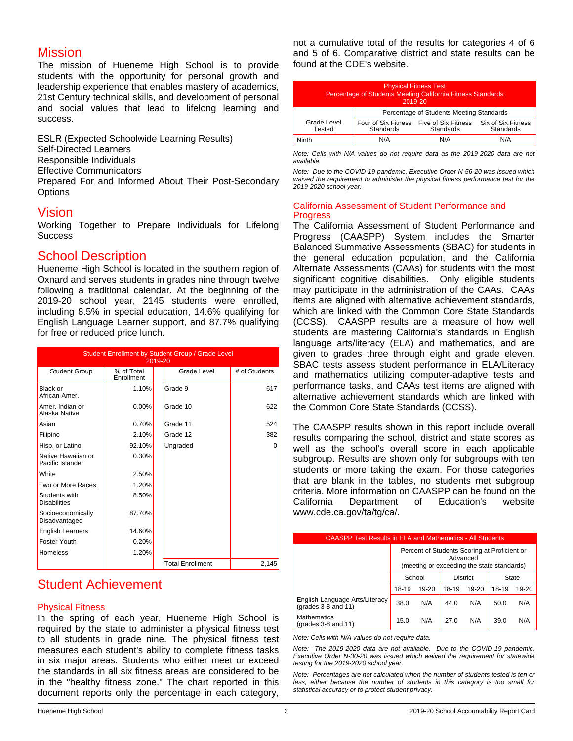## Mission

The mission of Hueneme High School is to provide students with the opportunity for personal growth and leadership experience that enables mastery of academics, 21st Century technical skills, and development of personal and social values that lead to lifelong learning and success.

ESLR (Expected Schoolwide Learning Results) Self-Directed Learners Responsible Individuals Effective Communicators Prepared For and Informed About Their Post-Secondary **Options** 

## Vision

Working Together to Prepare Individuals for Lifelong **Success** 

## School Description

Hueneme High School is located in the southern region of Oxnard and serves students in grades nine through twelve following a traditional calendar. At the beginning of the 2019-20 school year, 2145 students were enrolled, including 8.5% in special education, 14.6% qualifying for English Language Learner support, and 87.7% qualifying for free or reduced price lunch.

| Student Enrollment by Student Group / Grade Level<br>2019-20 |                          |                         |               |  |  |
|--------------------------------------------------------------|--------------------------|-------------------------|---------------|--|--|
| <b>Student Group</b>                                         | % of Total<br>Enrollment | Grade Level             | # of Students |  |  |
| Black or<br>African-Amer.                                    | 1.10%                    | Grade 9                 | 617           |  |  |
| Amer. Indian or<br>Alaska Native                             | 0.00%                    | Grade 10                | 622           |  |  |
| Asian                                                        | 0.70%                    | Grade 11                | 524           |  |  |
| Filipino                                                     | 2.10%                    | Grade 12                | 382           |  |  |
| Hisp. or Latino                                              | 92.10%                   | Ungraded                | $\Omega$      |  |  |
| Native Hawaiian or<br>Pacific Islander                       | 0.30%                    |                         |               |  |  |
| White                                                        | 2.50%                    |                         |               |  |  |
| Two or More Races                                            | 1.20%                    |                         |               |  |  |
| Students with<br><b>Disabilities</b>                         | 8.50%                    |                         |               |  |  |
| Socioeconomically<br>Disadvantaged                           | 87.70%                   |                         |               |  |  |
| <b>English Learners</b>                                      | 14.60%                   |                         |               |  |  |
| Foster Youth                                                 | 0.20%                    |                         |               |  |  |
| <b>Homeless</b>                                              | 1.20%                    |                         |               |  |  |
|                                                              |                          | <b>Total Enrollment</b> | 2,145         |  |  |

# Student Achievement

## Physical Fitness

In the spring of each year, Hueneme High School is required by the state to administer a physical fitness test to all students in grade nine. The physical fitness test measures each student's ability to complete fitness tasks in six major areas. Students who either meet or exceed the standards in all six fitness areas are considered to be in the "healthy fitness zone." The chart reported in this document reports only the percentage in each category,

not a cumulative total of the results for categories 4 of 6 and 5 of 6. Comparative district and state results can be found at the CDE's website.

| <b>Physical Fitness Test</b><br>Percentage of Students Meeting California Fitness Standards<br>2019-20 |                                          |                                  |                                 |  |
|--------------------------------------------------------------------------------------------------------|------------------------------------------|----------------------------------|---------------------------------|--|
|                                                                                                        | Percentage of Students Meeting Standards |                                  |                                 |  |
| Grade Level<br>Tested                                                                                  | Four of Six Fitness<br>Standards         | Five of Six Fitness<br>Standards | Six of Six Fitness<br>Standards |  |
| Ninth                                                                                                  | N/A                                      | N/A                              | N/A                             |  |

*Note: Cells with N/A values do not require data as the 2019-2020 data are not available.*

*Note: Due to the COVID-19 pandemic, Executive Order N-56-20 was issued which waived the requirement to administer the physical fitness performance test for the 2019-2020 school year.*

### California Assessment of Student Performance and **Progress**

The California Assessment of Student Performance and Progress (CAASPP) System includes the Smarter Balanced Summative Assessments (SBAC) for students in the general education population, and the California Alternate Assessments (CAAs) for students with the most significant cognitive disabilities. Only eligible students may participate in the administration of the CAAs. CAAs items are aligned with alternative achievement standards, which are linked with the Common Core State Standards (CCSS). CAASPP results are a measure of how well students are mastering California's standards in English language arts/literacy (ELA) and mathematics, and are given to grades three through eight and grade eleven. SBAC tests assess student performance in ELA/Literacy and mathematics utilizing computer-adaptive tests and performance tasks, and CAAs test items are aligned with alternative achievement standards which are linked with the Common Core State Standards (CCSS).

The CAASPP results shown in this report include overall results comparing the school, district and state scores as well as the school's overall score in each applicable subgroup. Results are shown only for subgroups with ten students or more taking the exam. For those categories that are blank in the tables, no students met subgroup criteria. More information on CAASPP can be found on the California Department of Education's website www.cde.ca.gov/ta/tg/ca/.

| <b>CAASPP Test Results in ELA and Mathematics - All Students</b> |                                                                                                        |     |                 |       |       |       |  |  |  |
|------------------------------------------------------------------|--------------------------------------------------------------------------------------------------------|-----|-----------------|-------|-------|-------|--|--|--|
|                                                                  | Percent of Students Scoring at Proficient or<br>Advanced<br>(meeting or exceeding the state standards) |     |                 |       |       |       |  |  |  |
|                                                                  | School                                                                                                 |     | <b>District</b> |       | State |       |  |  |  |
|                                                                  | 18-19<br>19-20                                                                                         |     | 18-19           | 19-20 | 18-19 | 19-20 |  |  |  |
| English-Language Arts/Literacy<br>$(grades 3-8 and 11)$          | 38.0                                                                                                   | N/A | 44.0            | N/A   | 50.0  | N/A   |  |  |  |
| <b>Mathematics</b><br>$(\text{grades } 3-8 \text{ and } 11)$     | 15.0                                                                                                   | N/A | 27.0            | N/A   | 39.0  | N/A   |  |  |  |

*Note: Cells with N/A values do not require data.*

*Note: The 2019-2020 data are not available. Due to the COVID-19 pandemic, Executive Order N-30-20 was issued which waived the requirement for statewide testing for the 2019-2020 school year.*

*Note: Percentages are not calculated when the number of students tested is ten or less, either because the number of students in this category is too small for statistical accuracy or to protect student privacy.*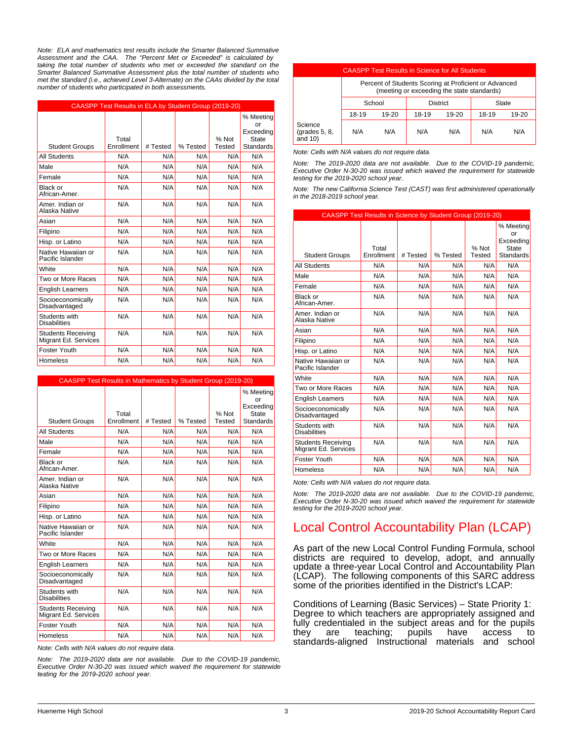*Note: ELA and mathematics test results include the Smarter Balanced Summative Assessment and the CAA. The "Percent Met or Exceeded" is calculated by taking the total number of students who met or exceeded the standard on the Smarter Balanced Summative Assessment plus the total number of students who met the standard (i.e., achieved Level 3-Alternate) on the CAAs divided by the total number of students who participated in both assessments.*

|                                                   | CAASPP Test Results in ELA by Student Group (2019-20) |          |          |               |                              |
|---------------------------------------------------|-------------------------------------------------------|----------|----------|---------------|------------------------------|
|                                                   |                                                       |          |          |               | % Meeting<br>or<br>Exceeding |
|                                                   | Total<br>Enrollment                                   |          | % Tested | % Not         | <b>State</b>                 |
| <b>Student Groups</b>                             |                                                       | # Tested |          | <b>Tested</b> | <b>Standards</b>             |
| <b>All Students</b>                               | N/A                                                   | N/A      | N/A      | N/A           | N/A                          |
| Male                                              | N/A                                                   | N/A      | N/A      | N/A           | N/A                          |
| Female                                            | N/A                                                   | N/A      | N/A      | N/A           | N/A                          |
| Black or<br>African-Amer.                         | N/A                                                   | N/A      | N/A      | N/A           | N/A                          |
| Amer. Indian or<br>Alaska Native                  | N/A                                                   | N/A      | N/A      | N/A           | N/A                          |
| Asian                                             | N/A                                                   | N/A      | N/A      | N/A           | N/A                          |
| Filipino                                          | N/A                                                   | N/A      | N/A      | N/A           | N/A                          |
| Hisp. or Latino                                   | N/A                                                   | N/A      | N/A      | N/A           | N/A                          |
| Native Hawaiian or<br>Pacific Islander            | N/A                                                   | N/A      | N/A      | N/A           | N/A                          |
| White                                             | N/A                                                   | N/A      | N/A      | N/A           | N/A                          |
| Two or More Races                                 | N/A                                                   | N/A      | N/A      | N/A           | N/A                          |
| <b>English Learners</b>                           | N/A                                                   | N/A      | N/A      | N/A           | N/A                          |
| Socioeconomically<br>Disadvantaged                | N/A                                                   | N/A      | N/A      | N/A           | N/A                          |
| Students with<br><b>Disabilities</b>              | N/A                                                   | N/A      | N/A      | N/A           | N/A                          |
| <b>Students Receiving</b><br>Migrant Ed. Services | N/A                                                   | N/A      | N/A      | N/A           | N/A                          |
| Foster Youth                                      | N/A                                                   | N/A      | N/A      | N/A           | N/A                          |
| <b>Homeless</b>                                   | N/A                                                   | N/A      | N/A      | N/A           | N/A                          |

|                                                   |                     | <b>CAASPP Test Results in Mathematics by Student Group (2019-20)</b> |          |                 |                              |  |  |  |  |
|---------------------------------------------------|---------------------|----------------------------------------------------------------------|----------|-----------------|------------------------------|--|--|--|--|
|                                                   |                     |                                                                      |          |                 | % Meeting<br>or<br>Exceeding |  |  |  |  |
| <b>Student Groups</b>                             | Total<br>Enrollment | # Tested                                                             | % Tested | % Not<br>Tested | <b>State</b><br>Standards    |  |  |  |  |
| <b>All Students</b>                               | N/A                 | N/A                                                                  | N/A      | N/A             | N/A                          |  |  |  |  |
| Male                                              | N/A                 | N/A                                                                  | N/A      | N/A             | N/A                          |  |  |  |  |
| Female                                            | N/A                 | N/A                                                                  | N/A      | N/A             | N/A                          |  |  |  |  |
| Black or<br>African-Amer.                         | N/A                 | N/A                                                                  | N/A      | N/A             | N/A                          |  |  |  |  |
| Amer, Indian or<br>Alaska Native                  | N/A                 | N/A                                                                  | N/A      | N/A             | N/A                          |  |  |  |  |
| Asian                                             | N/A                 | N/A                                                                  | N/A      | N/A             | N/A                          |  |  |  |  |
| Filipino                                          | N/A                 | N/A                                                                  | N/A      | N/A             | N/A                          |  |  |  |  |
| Hisp. or Latino                                   | N/A                 | N/A                                                                  | N/A      | N/A             | N/A                          |  |  |  |  |
| Native Hawaiian or<br>Pacific Islander            | N/A                 | N/A                                                                  | N/A      | N/A             | N/A                          |  |  |  |  |
| White                                             | N/A                 | N/A                                                                  | N/A      | N/A             | N/A                          |  |  |  |  |
| Two or More Races                                 | N/A                 | N/A                                                                  | N/A      | N/A             | N/A                          |  |  |  |  |
| <b>English Learners</b>                           | N/A                 | N/A                                                                  | N/A      | N/A             | N/A                          |  |  |  |  |
| Socioeconomically<br>Disadvantaged                | N/A                 | N/A                                                                  | N/A      | N/A             | N/A                          |  |  |  |  |
| Students with<br><b>Disabilities</b>              | N/A                 | N/A                                                                  | N/A      | N/A             | N/A                          |  |  |  |  |
| <b>Students Receiving</b><br>Migrant Ed. Services | N/A                 | N/A                                                                  | N/A      | N/A             | N/A                          |  |  |  |  |
| Foster Youth                                      | N/A                 | N/A                                                                  | N/A      | N/A             | N/A                          |  |  |  |  |
| <b>Homeless</b>                                   | N/A                 | N/A                                                                  | N/A      | N/A             | N/A                          |  |  |  |  |

*Note: Cells with N/A values do not require data.*

*Note: The 2019-2020 data are not available. Due to the COVID-19 pandemic, Executive Order N-30-20 was issued which waived the requirement for statewide testing for the 2019-2020 school year.*

| <b>CAASPP Test Results in Science for All Students</b> |                                                                                                     |       |       |                 |       |           |  |
|--------------------------------------------------------|-----------------------------------------------------------------------------------------------------|-------|-------|-----------------|-------|-----------|--|
|                                                        | Percent of Students Scoring at Proficient or Advanced<br>(meeting or exceeding the state standards) |       |       |                 |       |           |  |
|                                                        | School                                                                                              |       |       | <b>District</b> |       | State     |  |
|                                                        | 18-19                                                                                               | 19-20 | 18-19 | $19 - 20$       | 18-19 | $19 - 20$ |  |
| Science<br>(grades 5, 8,<br>and $10$                   | N/A                                                                                                 | N/A   | N/A   | N/A             | N/A   | N/A       |  |

*Note: Cells with N/A values do not require data.*

*Note: The 2019-2020 data are not available. Due to the COVID-19 pandemic, Executive Order N-30-20 was issued which waived the requirement for statewide testing for the 2019-2020 school year.*

*Note: The new California Science Test (CAST) was first administered operationally in the 2018-2019 school year.*

| CAASPP Test Results in Science by Student Group (2019-20) |            |          |          |               |                              |  |  |
|-----------------------------------------------------------|------------|----------|----------|---------------|------------------------------|--|--|
|                                                           |            |          |          |               | % Meeting<br>Ωr<br>Exceeding |  |  |
|                                                           | Total      |          |          | % Not         | State                        |  |  |
| <b>Student Groups</b>                                     | Enrollment | # Tested | % Tested | <b>Tested</b> | <b>Standards</b>             |  |  |
| <b>All Students</b>                                       | N/A        | N/A      | N/A      | N/A           | N/A                          |  |  |
| Male                                                      | N/A        | N/A      | N/A      | N/A           | N/A                          |  |  |
| Female                                                    | N/A        | N/A      | N/A      | N/A           | N/A                          |  |  |
| <b>Black or</b><br>African-Amer.                          | N/A        | N/A      | N/A      | N/A           | N/A                          |  |  |
| Amer, Indian or<br>Alaska Native                          | N/A        | N/A      | N/A      | N/A           | N/A                          |  |  |
| Asian                                                     | N/A        | N/A      | N/A      | N/A           | N/A                          |  |  |
| Filipino                                                  | N/A        | N/A      | N/A      | N/A           | N/A                          |  |  |
| Hisp. or Latino                                           | N/A        | N/A      | N/A      | N/A           | N/A                          |  |  |
| Native Hawaiian or<br>Pacific Islander                    | N/A        | N/A      | N/A      | N/A           | N/A                          |  |  |
| White                                                     | N/A        | N/A      | N/A      | N/A           | N/A                          |  |  |
| Two or More Races                                         | N/A        | N/A      | N/A      | N/A           | N/A                          |  |  |
| <b>English Learners</b>                                   | N/A        | N/A      | N/A      | N/A           | N/A                          |  |  |
| Socioeconomically<br>Disadvantaged                        | N/A        | N/A      | N/A      | N/A           | N/A                          |  |  |
| Students with<br><b>Disabilities</b>                      | N/A        | N/A      | N/A      | N/A           | N/A                          |  |  |
| <b>Students Receiving</b><br>Migrant Ed. Services         | N/A        | N/A      | N/A      | N/A           | N/A                          |  |  |
| Foster Youth                                              | N/A        | N/A      | N/A      | N/A           | N/A                          |  |  |
| <b>Homeless</b>                                           | N/A        | N/A      | N/A      | N/A           | N/A                          |  |  |

*Note: Cells with N/A values do not require data.*

*Note: The 2019-2020 data are not available. Due to the COVID-19 pandemic, Executive Order N-30-20 was issued which waived the requirement for statewide testing for the 2019-2020 school year.*

# Local Control Accountability Plan (LCAP)

As part of the new Local Control Funding Formula, school districts are required to develop, adopt, and annually update a three-year Local Control and Accountability Plan (LCAP). The following components of this SARC address some of the priorities identified in the District's LCAP:

Conditions of Learning (Basic Services) – State Priority 1: Degree to which teachers are appropriately assigned and fully credentialed in the subject areas and for the pupils<br>they are teaching; pupils have access to they are teaching; pupils have access to standards-aligned Instructional materials and school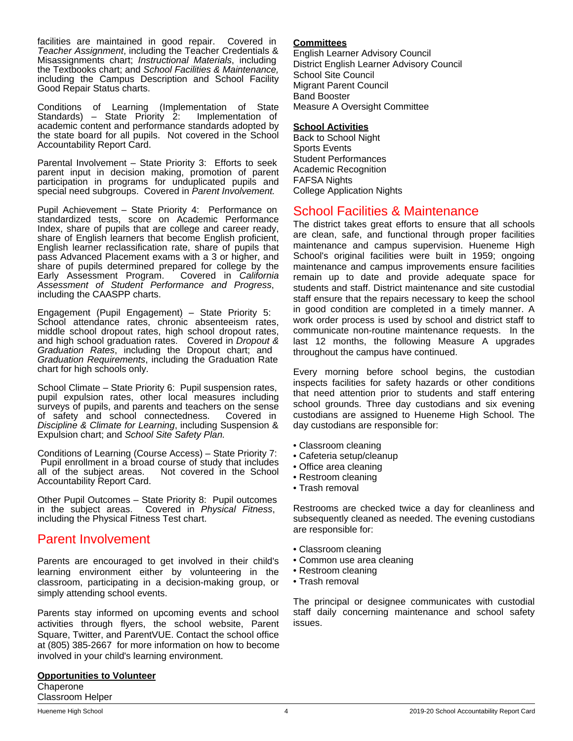facilities are maintained in good repair. Covered in *Teacher Assignment*, including the Teacher Credentials & Misassignments chart; *Instructional Materials*, including the Textbooks chart; and *School Facilities & Maintenance,* including the Campus Description and School Facility Good Repair Status charts.

Conditions of Learning (Implementation of State<br>Standards) – State Priority 2: Implementation of Standards) – State Priority 2: academic content and performance standards adopted by the state board for all pupils. Not covered in the School Accountability Report Card.

Parental Involvement – State Priority 3: Efforts to seek parent input in decision making, promotion of parent participation in programs for unduplicated pupils and special need subgroups. Covered in *Parent Involvement.*

Pupil Achievement – State Priority 4: Performance on standardized tests, score on Academic Performance Index, share of pupils that are college and career ready, share of English learners that become English proficient, English learner reclassification rate, share of pupils that pass Advanced Placement exams with a 3 or higher, and share of pupils determined prepared for college by the Early Assessment Program. Covered in California Early Assessment Program. *Assessment of Student Performance and Progress*, including the CAASPP charts.

Engagement (Pupil Engagement) – State Priority 5: School attendance rates, chronic absenteeism rates, middle school dropout rates, high school dropout rates, and high school graduation rates. Covered in *Dropout & Graduation Rates*, including the Dropout chart; and *Graduation Requirements*, including the Graduation Rate chart for high schools only.

School Climate – State Priority 6: Pupil suspension rates, pupil expulsion rates, other local measures including surveys of pupils, and parents and teachers on the sense of safety and school connectedness. Covered in *Discipline & Climate for Learning*, including Suspension & Expulsion chart; and *School Site Safety Plan.*

Conditions of Learning (Course Access) – State Priority 7: Pupil enrollment in a broad course of study that includes all of the subject areas. Not covered in the School Not covered in the School Accountability Report Card.

Other Pupil Outcomes – State Priority 8: Pupil outcomes in the subject areas. Covered in *Physical Fitness*, including the Physical Fitness Test chart.

# Parent Involvement

Parents are encouraged to get involved in their child's learning environment either by volunteering in the classroom, participating in a decision-making group, or simply attending school events.

Parents stay informed on upcoming events and school activities through flyers, the school website, Parent Square, Twitter, and ParentVUE. Contact the school office at (805) 385-2667 for more information on how to become involved in your child's learning environment.

**Opportunities to Volunteer Chaperone** Classroom Helper

#### **Committees**

English Learner Advisory Council District English Learner Advisory Council School Site Council Migrant Parent Council Band Booster Measure A Oversight Committee

### **School Activities**

Back to School Night Sports Events Student Performances Academic Recognition FAFSA Nights College Application Nights

## School Facilities & Maintenance

The district takes great efforts to ensure that all schools are clean, safe, and functional through proper facilities maintenance and campus supervision. Hueneme High School's original facilities were built in 1959; ongoing maintenance and campus improvements ensure facilities remain up to date and provide adequate space for students and staff. District maintenance and site custodial staff ensure that the repairs necessary to keep the school in good condition are completed in a timely manner. A work order process is used by school and district staff to communicate non-routine maintenance requests. In the last 12 months, the following Measure A upgrades throughout the campus have continued.

Every morning before school begins, the custodian inspects facilities for safety hazards or other conditions that need attention prior to students and staff entering school grounds. Three day custodians and six evening custodians are assigned to Hueneme High School. The day custodians are responsible for:

- Classroom cleaning
- Cafeteria setup/cleanup
- Office area cleaning
- Restroom cleaning
- Trash removal

Restrooms are checked twice a day for cleanliness and subsequently cleaned as needed. The evening custodians are responsible for:

- Classroom cleaning
- Common use area cleaning
- Restroom cleaning
- Trash removal

The principal or designee communicates with custodial staff daily concerning maintenance and school safety issues.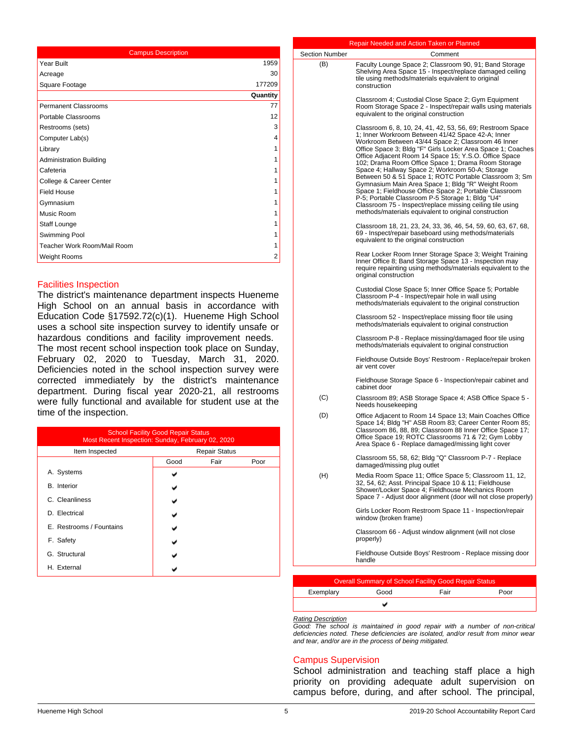| <b>Campus Description</b>      |          |  |  |
|--------------------------------|----------|--|--|
| Year Built                     | 1959     |  |  |
| Acreage                        | 30       |  |  |
| Square Footage                 | 177209   |  |  |
|                                | Quantity |  |  |
| <b>Permanent Classrooms</b>    | 77       |  |  |
| Portable Classrooms            | 12       |  |  |
| Restrooms (sets)               | 3        |  |  |
| Computer Lab(s)                | 4        |  |  |
| Library                        | 1        |  |  |
| <b>Administration Building</b> | 1        |  |  |
| Cafeteria                      | 1        |  |  |
| College & Career Center        |          |  |  |
| <b>Field House</b>             | 1        |  |  |
| Gymnasium                      | 1        |  |  |
| Music Room                     |          |  |  |
| Staff Lounge                   | 1        |  |  |
| Swimming Pool                  | 1        |  |  |
| Teacher Work Room/Mail Room    | 1        |  |  |
| Weight Rooms                   | 2        |  |  |

### Facilities Inspection

The district's maintenance department inspects Hueneme High School on an annual basis in accordance with Education Code §17592.72(c)(1). Hueneme High School uses a school site inspection survey to identify unsafe or hazardous conditions and facility improvement needs. The most recent school inspection took place on Sunday, February 02, 2020 to Tuesday, March 31, 2020. Deficiencies noted in the school inspection survey were corrected immediately by the district's maintenance department. During fiscal year 2020-21, all restrooms were fully functional and available for student use at the time of the inspection.

| <b>School Facility Good Repair Status</b><br>Most Recent Inspection: Sunday, February 02, 2020 |                      |      |      |  |  |
|------------------------------------------------------------------------------------------------|----------------------|------|------|--|--|
| Item Inspected                                                                                 | <b>Repair Status</b> |      |      |  |  |
|                                                                                                | Good                 | Fair | Poor |  |  |
| A. Systems                                                                                     |                      |      |      |  |  |
| <b>B.</b> Interior                                                                             |                      |      |      |  |  |
| C. Cleanliness                                                                                 |                      |      |      |  |  |
| D. Electrical                                                                                  |                      |      |      |  |  |
| E. Restrooms / Fountains                                                                       |                      |      |      |  |  |
| F. Safety                                                                                      |                      |      |      |  |  |
| G. Structural                                                                                  |                      |      |      |  |  |
| H. External                                                                                    |                      |      |      |  |  |

|                       | Repair Needed and Action Taken or Planned                                                                                                                                                                                                                                                                                                                                                                                                                                                                                                                                                                                                                                                                                                                  |         |      |
|-----------------------|------------------------------------------------------------------------------------------------------------------------------------------------------------------------------------------------------------------------------------------------------------------------------------------------------------------------------------------------------------------------------------------------------------------------------------------------------------------------------------------------------------------------------------------------------------------------------------------------------------------------------------------------------------------------------------------------------------------------------------------------------------|---------|------|
| <b>Section Number</b> |                                                                                                                                                                                                                                                                                                                                                                                                                                                                                                                                                                                                                                                                                                                                                            | Comment |      |
| (B)                   | Faculty Lounge Space 2; Classroom 90, 91; Band Storage<br>Shelving Area Space 15 - Inspect/replace damaged ceiling<br>tile using methods/materials equivalent to original<br>construction                                                                                                                                                                                                                                                                                                                                                                                                                                                                                                                                                                  |         |      |
|                       | Classroom 4; Custodial Close Space 2; Gym Equipment<br>Room Storage Space 2 - Inspect/repair walls using materials<br>equivalent to the original construction                                                                                                                                                                                                                                                                                                                                                                                                                                                                                                                                                                                              |         |      |
|                       | Classroom 6, 8, 10, 24, 41, 42, 53, 56, 69; Restroom Space<br>1; Inner Workroom Between 41/42 Space 42-A; Inner<br>Workroom Between 43/44 Space 2; Classroom 46 Inner<br>Office Space 3; Bldg "F" Girls Locker Area Space 1; Coaches<br>Office Adjacent Room 14 Space 15; Y.S.O. Office Space<br>102; Drama Room Office Space 1; Drama Room Storage<br>Space 4; Hallway Space 2; Workroom 50-A; Storage<br>Between 50 & 51 Space 1; ROTC Portable Classroom 3; Sm<br>Gymnasium Main Area Space 1; Bldg "R" Weight Room<br>Space 1; Fieldhouse Office Space 2; Portable Classroom<br>P-5; Portable Classroom P-5 Storage 1; Bldg "U4"<br>Classroom 75 - Inspect/replace missing ceiling tile using<br>methods/materials equivalent to original construction |         |      |
|                       | Classroom 18, 21, 23, 24, 33, 36, 46, 54, 59, 60, 63, 67, 68,<br>69 - Inspect/repair baseboard using methods/materials<br>equivalent to the original construction                                                                                                                                                                                                                                                                                                                                                                                                                                                                                                                                                                                          |         |      |
|                       | Rear Locker Room Inner Storage Space 3; Weight Training<br>Inner Office 8; Band Storage Space 13 - Inspection may<br>require repainting using methods/materials equivalent to the<br>original construction                                                                                                                                                                                                                                                                                                                                                                                                                                                                                                                                                 |         |      |
|                       | Custodial Close Space 5; Inner Office Space 5; Portable<br>Classroom P-4 - Inspect/repair hole in wall using<br>methods/materials equivalent to the original construction                                                                                                                                                                                                                                                                                                                                                                                                                                                                                                                                                                                  |         |      |
|                       | Classroom 52 - Inspect/replace missing floor tile using<br>methods/materials equivalent to original construction                                                                                                                                                                                                                                                                                                                                                                                                                                                                                                                                                                                                                                           |         |      |
|                       | Classroom P-8 - Replace missing/damaged floor tile using<br>methods/materials equivalent to original construction                                                                                                                                                                                                                                                                                                                                                                                                                                                                                                                                                                                                                                          |         |      |
|                       | Fieldhouse Outside Boys' Restroom - Replace/repair broken<br>air vent cover                                                                                                                                                                                                                                                                                                                                                                                                                                                                                                                                                                                                                                                                                |         |      |
|                       | Fieldhouse Storage Space 6 - Inspection/repair cabinet and<br>cabinet door                                                                                                                                                                                                                                                                                                                                                                                                                                                                                                                                                                                                                                                                                 |         |      |
| (C)                   | Classroom 89; ASB Storage Space 4; ASB Office Space 5 -<br>Needs housekeeping                                                                                                                                                                                                                                                                                                                                                                                                                                                                                                                                                                                                                                                                              |         |      |
| (D)                   | Office Adjacent to Room 14 Space 13; Main Coaches Office<br>Space 14; Bldg "H" ASB Room 83; Career Center Room 85;<br>Classroom 86, 88, 89; Classroom 88 Inner Office Space 17;<br>Office Space 19; ROTC Classrooms 71 & 72; Gym Lobby<br>Area Space 6 - Replace damaged/missing light cover                                                                                                                                                                                                                                                                                                                                                                                                                                                               |         |      |
|                       | Classroom 55, 58, 62; Bldg "Q" Classroom P-7 - Replace<br>damaged/missing plug outlet                                                                                                                                                                                                                                                                                                                                                                                                                                                                                                                                                                                                                                                                      |         |      |
| (H)                   | Media Room Space 11; Office Space 5; Classroom 11, 12,<br>32, 54, 62; Asst. Principal Space 10 & 11; Fieldhouse<br>Shower/Locker Space 4; Fieldhouse Mechanics Room<br>Space 7 - Adjust door alignment (door will not close properly)                                                                                                                                                                                                                                                                                                                                                                                                                                                                                                                      |         |      |
|                       | Girls Locker Room Restroom Space 11 - Inspection/repair<br>window (broken frame)                                                                                                                                                                                                                                                                                                                                                                                                                                                                                                                                                                                                                                                                           |         |      |
|                       | Classroom 66 - Adjust window alignment (will not close<br>properly)                                                                                                                                                                                                                                                                                                                                                                                                                                                                                                                                                                                                                                                                                        |         |      |
|                       | Fieldhouse Outside Boys' Restroom - Replace missing door<br>handle                                                                                                                                                                                                                                                                                                                                                                                                                                                                                                                                                                                                                                                                                         |         |      |
|                       |                                                                                                                                                                                                                                                                                                                                                                                                                                                                                                                                                                                                                                                                                                                                                            |         |      |
|                       | <b>Overall Summary of School Facility Good Repair Status</b>                                                                                                                                                                                                                                                                                                                                                                                                                                                                                                                                                                                                                                                                                               |         |      |
| Exemplary             | Good<br>v                                                                                                                                                                                                                                                                                                                                                                                                                                                                                                                                                                                                                                                                                                                                                  | Fair    | Poor |

#### *Rating Description*

*Good: The school is maintained in good repair with a number of non-critical deficiencies noted. These deficiencies are isolated, and/or result from minor wear and tear, and/or are in the process of being mitigated.*

## Campus Supervision

School administration and teaching staff place a high priority on providing adequate adult supervision on campus before, during, and after school. The principal,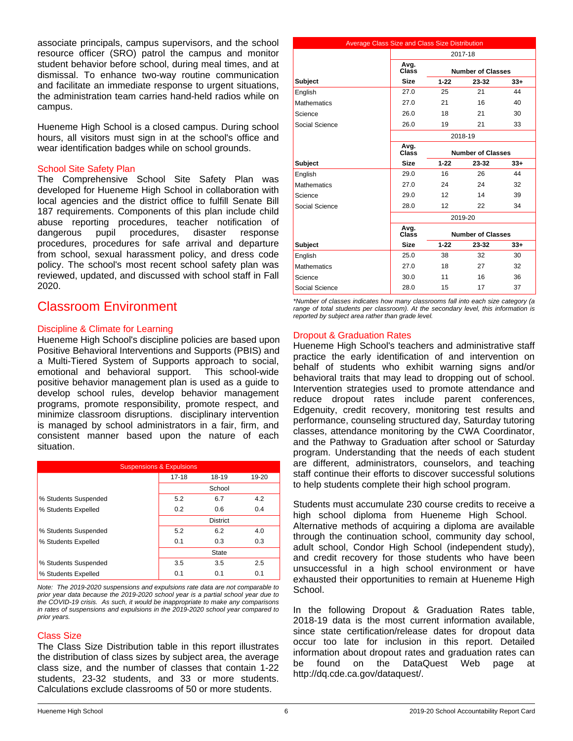associate principals, campus supervisors, and the school resource officer (SRO) patrol the campus and monitor student behavior before school, during meal times, and at dismissal. To enhance two-way routine communication and facilitate an immediate response to urgent situations, the administration team carries hand-held radios while on campus.

Hueneme High School is a closed campus. During school hours, all visitors must sign in at the school's office and wear identification badges while on school grounds.

#### School Site Safety Plan

The Comprehensive School Site Safety Plan was developed for Hueneme High School in collaboration with local agencies and the district office to fulfill Senate Bill 187 requirements. Components of this plan include child abuse reporting procedures, teacher notification of dangerous pupil procedures, disaster response procedures, procedures for safe arrival and departure from school, sexual harassment policy, and dress code policy. The school's most recent school safety plan was reviewed, updated, and discussed with school staff in Fall 2020.

## Classroom Environment

## Discipline & Climate for Learning

Hueneme High School's discipline policies are based upon Positive Behavioral Interventions and Supports (PBIS) and a Multi-Tiered System of Supports approach to social, emotional and behavioral support. This school-wide positive behavior management plan is used as a guide to develop school rules, develop behavior management programs, promote responsibility, promote respect, and minimize classroom disruptions. disciplinary intervention is managed by school administrators in a fair, firm, and consistent manner based upon the nature of each situation.

| <b>Suspensions &amp; Expulsions</b> |           |                 |       |  |  |  |
|-------------------------------------|-----------|-----------------|-------|--|--|--|
|                                     | $17 - 18$ | 18-19           | 19-20 |  |  |  |
|                                     |           | School          |       |  |  |  |
| % Students Suspended                | 5.2       | 6.7             | 4.2   |  |  |  |
| % Students Expelled                 | 0.2       | 0.6             | 0.4   |  |  |  |
|                                     |           | <b>District</b> |       |  |  |  |
| % Students Suspended                | 5.2       | 6.2             | 4.0   |  |  |  |
| % Students Expelled                 | 0.1       | 0.3             | 0.3   |  |  |  |
|                                     |           | <b>State</b>    |       |  |  |  |
| % Students Suspended                | 3.5       | 3.5             | 2.5   |  |  |  |
| % Students Expelled                 | 0.1       | 0.1             | 0.1   |  |  |  |

*Note: The 2019-2020 suspensions and expulsions rate data are not comparable to prior year data because the 2019-2020 school year is a partial school year due to the COVID-19 crisis. As such, it would be inappropriate to make any comparisons in rates of suspensions and expulsions in the 2019-2020 school year compared to prior years.*

### Class Size

The Class Size Distribution table in this report illustrates the distribution of class sizes by subject area, the average class size, and the number of classes that contain 1-22 students, 23-32 students, and 33 or more students. Calculations exclude classrooms of 50 or more students.

| Average Class Size and Class Size Distribution |               |          |                          |       |  |  |
|------------------------------------------------|---------------|----------|--------------------------|-------|--|--|
|                                                |               |          | 2017-18                  |       |  |  |
|                                                | Avg.<br>Class |          | <b>Number of Classes</b> |       |  |  |
| <b>Subject</b>                                 | <b>Size</b>   | $1 - 22$ | 23-32                    | $33+$ |  |  |
| English                                        | 27.0          | 25       | 21                       | 44    |  |  |
| <b>Mathematics</b>                             | 27.0          | 21       | 16                       | 40    |  |  |
| Science                                        | 26.0          | 18       | 21                       | 30    |  |  |
| Social Science                                 | 26.0          | 19       | 21                       | 33    |  |  |
|                                                | 2018-19       |          |                          |       |  |  |
|                                                | Avg.<br>Class |          | <b>Number of Classes</b> |       |  |  |
| <b>Subject</b>                                 | <b>Size</b>   | $1 - 22$ | 23-32                    | $33+$ |  |  |
| English                                        | 29.0          | 16       | 26                       | 44    |  |  |
| <b>Mathematics</b>                             | 27.0          | 24       | 24                       | 32    |  |  |
| Science                                        | 29.0          | 12       | 14                       | 39    |  |  |
| Social Science                                 | 28.0          | 12       | 22                       | 34    |  |  |
|                                                |               |          | 2019-20                  |       |  |  |
|                                                | Avg.<br>Class |          | <b>Number of Classes</b> |       |  |  |
| <b>Subject</b>                                 | <b>Size</b>   | $1 - 22$ | 23-32                    | $33+$ |  |  |
| English                                        | 25.0          | 38       | 32                       | 30    |  |  |
| <b>Mathematics</b>                             | 27.0          | 18       | 27                       | 32    |  |  |
| Science                                        | 30.0          | 11       | 16                       | 36    |  |  |
| Social Science                                 | 28.0          | 15       | 17                       | 37    |  |  |

*\*Number of classes indicates how many classrooms fall into each size category (a range of total students per classroom). At the secondary level, this information is reported by subject area rather than grade level.*

## Dropout & Graduation Rates

Hueneme High School's teachers and administrative staff practice the early identification of and intervention on behalf of students who exhibit warning signs and/or behavioral traits that may lead to dropping out of school. Intervention strategies used to promote attendance and reduce dropout rates include parent conferences, Edgenuity, credit recovery, monitoring test results and performance, counseling structured day, Saturday tutoring classes, attendance monitoring by the CWA Coordinator, and the Pathway to Graduation after school or Saturday program. Understanding that the needs of each student are different, administrators, counselors, and teaching staff continue their efforts to discover successful solutions to help students complete their high school program.

Students must accumulate 230 course credits to receive a high school diploma from Hueneme High School. Alternative methods of acquiring a diploma are available through the continuation school, community day school, adult school, Condor High School (independent study), and credit recovery for those students who have been unsuccessful in a high school environment or have exhausted their opportunities to remain at Hueneme High School.

In the following Dropout & Graduation Rates table, 2018-19 data is the most current information available, since state certification/release dates for dropout data occur too late for inclusion in this report. Detailed information about dropout rates and graduation rates can be found on the DataQuest Web page at http://dq.cde.ca.gov/dataquest/.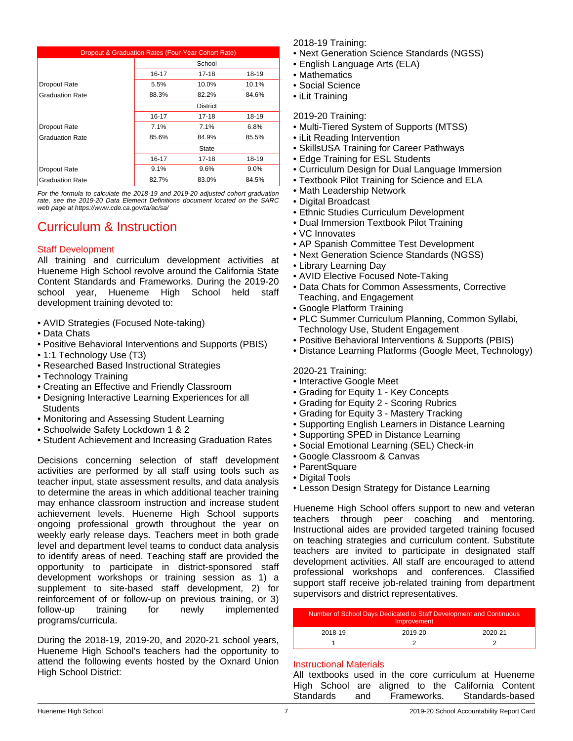| Dropout & Graduation Rates (Four-Year Cohort Rate) |                                 |       |       |  |  |
|----------------------------------------------------|---------------------------------|-------|-------|--|--|
|                                                    | School                          |       |       |  |  |
|                                                    | $16 - 17$<br>$17 - 18$<br>18-19 |       |       |  |  |
| Dropout Rate                                       | 5.5%                            | 10.0% | 10.1% |  |  |
| <b>Graduation Rate</b>                             | 88.3%                           | 82.2% | 84.6% |  |  |
|                                                    | <b>District</b>                 |       |       |  |  |
|                                                    | $16 - 17$                       | 17-18 | 18-19 |  |  |
| Dropout Rate                                       | 7.1%                            | 7.1%  | 6.8%  |  |  |
| <b>Graduation Rate</b>                             | 85.6%<br>84.9%<br>85.5%         |       |       |  |  |
|                                                    | State                           |       |       |  |  |
|                                                    | 16-17                           | 17-18 | 18-19 |  |  |
| Dropout Rate                                       | 9.1%                            | 9.6%  | 9.0%  |  |  |
| <b>Graduation Rate</b>                             | 82.7%<br>83.0%<br>84.5%         |       |       |  |  |

*For the formula to calculate the 2018-19 and 2019-20 adjusted cohort graduation rate, see the 2019-20 Data Element Definitions document located on the SARC web page at https://www.cde.ca.gov/ta/ac/sa/*

# Curriculum & Instruction

## Staff Development

All training and curriculum development activities at Hueneme High School revolve around the California State Content Standards and Frameworks. During the 2019-20 school year, Hueneme High School held staff development training devoted to:

- AVID Strategies (Focused Note-taking)
- Data Chats
- Positive Behavioral Interventions and Supports (PBIS)
- 1:1 Technology Use (T3)
- Researched Based Instructional Strategies
- Technology Training
- Creating an Effective and Friendly Classroom
- Designing Interactive Learning Experiences for all **Students**
- Monitoring and Assessing Student Learning
- Schoolwide Safety Lockdown 1 & 2
- Student Achievement and Increasing Graduation Rates

Decisions concerning selection of staff development activities are performed by all staff using tools such as teacher input, state assessment results, and data analysis to determine the areas in which additional teacher training may enhance classroom instruction and increase student achievement levels. Hueneme High School supports ongoing professional growth throughout the year on weekly early release days. Teachers meet in both grade level and department level teams to conduct data analysis to identify areas of need. Teaching staff are provided the opportunity to participate in district-sponsored staff development workshops or training session as 1) a supplement to site-based staff development, 2) for reinforcement of or follow-up on previous training, or 3) follow-up training for newly implemented programs/curricula.

During the 2018-19, 2019-20, and 2020-21 school years, Hueneme High School's teachers had the opportunity to attend the following events hosted by the Oxnard Union High School District:

2018-19 Training:

- Next Generation Science Standards (NGSS)
- English Language Arts (ELA)
- Mathematics
- Social Science
- iLit Training
- 2019-20 Training:
- Multi-Tiered System of Supports (MTSS)
- iLit Reading Intervention
- SkillsUSA Training for Career Pathways
- Edge Training for ESL Students
- Curriculum Design for Dual Language Immersion
- Textbook Pilot Training for Science and ELA
- Math Leadership Network
- Digital Broadcast
- Ethnic Studies Curriculum Development
- Dual Immersion Textbook Pilot Training
- VC Innovates
- AP Spanish Committee Test Development
- Next Generation Science Standards (NGSS)
- Library Learning Day
- AVID Elective Focused Note-Taking
- Data Chats for Common Assessments, Corrective Teaching, and Engagement
- Google Platform Training
- PLC Summer Curriculum Planning, Common Syllabi, Technology Use, Student Engagement
- Positive Behavioral Interventions & Supports (PBIS)
- Distance Learning Platforms (Google Meet, Technology)

2020-21 Training:

- Interactive Google Meet
- Grading for Equity 1 Key Concepts
- Grading for Equity 2 Scoring Rubrics
- Grading for Equity 3 Mastery Tracking
- Supporting English Learners in Distance Learning
- Supporting SPED in Distance Learning
- Social Emotional Learning (SEL) Check-in
- Google Classroom & Canvas
- ParentSquare
- Digital Tools
- Lesson Design Strategy for Distance Learning

Hueneme High School offers support to new and veteran teachers through peer coaching and mentoring. Instructional aides are provided targeted training focused on teaching strategies and curriculum content. Substitute teachers are invited to participate in designated staff development activities. All staff are encouraged to attend professional workshops and conferences. Classified support staff receive job-related training from department supervisors and district representatives.

| Number of School Days Dedicated to Staff Development and Continuous<br>Improvement |  |  |  |  |
|------------------------------------------------------------------------------------|--|--|--|--|
| 2019-20<br>2018-19<br>2020-21                                                      |  |  |  |  |
|                                                                                    |  |  |  |  |

### Instructional Materials

All textbooks used in the core curriculum at Hueneme High School are aligned to the California Content Standards and Frameworks. Standards-based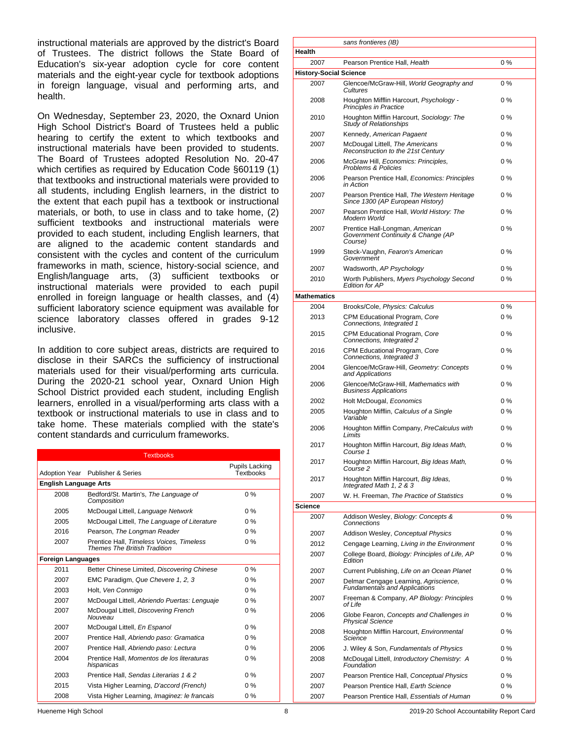instructional materials are approved by the district's Board of Trustees. The district follows the State Board of Education's six-year adoption cycle for core content materials and the eight-year cycle for textbook adoptions in foreign language, visual and performing arts, and health.

On Wednesday, September 23, 2020, the Oxnard Union High School District's Board of Trustees held a public hearing to certify the extent to which textbooks and instructional materials have been provided to students. The Board of Trustees adopted Resolution No. 20-47 which certifies as required by Education Code §60119 (1) that textbooks and instructional materials were provided to all students, including English learners, in the district to the extent that each pupil has a textbook or instructional materials, or both, to use in class and to take home, (2) sufficient textbooks and instructional materials were provided to each student, including English learners, that are aligned to the academic content standards and consistent with the cycles and content of the curriculum frameworks in math, science, history-social science, and English/language arts, (3) sufficient textbooks or instructional materials were provided to each pupil enrolled in foreign language or health classes, and (4) sufficient laboratory science equipment was available for science laboratory classes offered in grades 9-12 inclusive.

In addition to core subject areas, districts are required to disclose in their SARCs the sufficiency of instructional materials used for their visual/performing arts curricula. During the 2020-21 school year, Oxnard Union High School District provided each student, including English learners, enrolled in a visual/performing arts class with a textbook or instructional materials to use in class and to take home. These materials complied with the state's content standards and curriculum frameworks.

| <b>Textbooks</b>             |                                                                                 |                                    |  |  |  |
|------------------------------|---------------------------------------------------------------------------------|------------------------------------|--|--|--|
|                              | Adoption Year Publisher & Series                                                | Pupils Lacking<br><b>Textbooks</b> |  |  |  |
| <b>English Language Arts</b> |                                                                                 |                                    |  |  |  |
| 2008                         | Bedford/St. Martin's, The Language of<br>Composition                            | $0\%$                              |  |  |  |
| 2005                         | McDougal Littell, Language Network                                              | $0\%$                              |  |  |  |
| 2005                         | McDougal Littell, The Language of Literature                                    | $0\%$                              |  |  |  |
| 2016                         | Pearson, The Longman Reader                                                     | $0\%$                              |  |  |  |
| 2007                         | Prentice Hall, Timeless Voices, Timeless<br><b>Themes The British Tradition</b> | $0\%$                              |  |  |  |
| <b>Foreign Languages</b>     |                                                                                 |                                    |  |  |  |
| 2011                         | Better Chinese Limited, Discovering Chinese                                     | $0\%$                              |  |  |  |
| 2007                         | EMC Paradigm, Que Chevere 1, 2, 3                                               | $0\%$                              |  |  |  |
| 2003                         | Holt, Ven Conmigo                                                               | $0\%$                              |  |  |  |
| 2007                         | McDougal Littell, Abriendo Puertas: Lenguaje                                    | $0\%$                              |  |  |  |
| 2007                         | McDougal Littell, Discovering French<br>Nouveau                                 | $0\%$                              |  |  |  |
| 2007                         | McDougal Littell, En Espanol                                                    | $0\%$                              |  |  |  |
| 2007                         | Prentice Hall, Abriendo paso: Gramatica                                         | $0\%$                              |  |  |  |
| 2007                         | Prentice Hall, Abriendo paso: Lectura                                           | $0\%$                              |  |  |  |
| 2004                         | Prentice Hall, Momentos de los literaturas<br>hispanicas                        | $0\%$                              |  |  |  |
| 2003                         | Prentice Hall, Sendas Literarias 1 & 2                                          | $0\%$                              |  |  |  |
| 2015                         | Vista Higher Learning, D'accord (French)                                        | $0\%$                              |  |  |  |
| 2008                         | Vista Higher Learning, Imaginez: le francais                                    | $0\%$                              |  |  |  |

|                               | 38113110110010311D)                                                                             |          |
|-------------------------------|-------------------------------------------------------------------------------------------------|----------|
| Health                        |                                                                                                 |          |
| 2007                          | Pearson Prentice Hall, Health                                                                   | 0%       |
| <b>History-Social Science</b> |                                                                                                 |          |
| 2007                          | Glencoe/McGraw-Hill, World Geography and<br>Cultures                                            | $0\%$    |
| 2008                          | Houghton Mifflin Harcourt, Psychology -<br>Principles in Practice                               | 0 %      |
| 2010                          | Houghton Mifflin Harcourt, Sociology: The<br>Study of Relationships                             | 0 %      |
| 2007                          | Kennedy, American Pagaent                                                                       | 0 %      |
| 2007                          | McDougal Littell, The Americans<br>Reconstruction to the 21st Century                           | 0%       |
| 2006                          | McGraw Hill, Economics: Principles,<br>Problems & Policies                                      | 0%       |
| 2006                          | Pearson Prentice Hall, Economics: Principles<br>in Action                                       | 0%       |
| 2007                          | Pearson Prentice Hall, The Western Heritage<br>Since 1300 (AP European History)                 | 0%       |
| 2007                          | Pearson Prentice Hall, World History: The<br>Modern World                                       | 0%       |
| 2007                          | Prentice Hall-Longman, American<br>Government Continuity & Change (AP<br>Course)                | 0%       |
| 1999                          | Steck-Vaughn, Fearon's American<br>Government                                                   | 0 %      |
| 2007                          | Wadsworth, AP Psychology                                                                        | 0 %      |
| 2010                          | Worth Publishers, Myers Psychology Second<br><b>Edition for AP</b>                              | 0%       |
| <b>Mathematics</b>            |                                                                                                 |          |
| 2004                          | Brooks/Cole, Physics: Calculus                                                                  | $0\%$    |
| 2013                          | CPM Educational Program, Core<br>Connections, Integrated 1                                      | 0%       |
| 2015                          | CPM Educational Program, Core<br>Connections, Integrated 2                                      | 0%       |
| 2016                          | CPM Educational Program, Core<br>Connections, Integrated 3                                      | 0%       |
| 2004                          | Glencoe/McGraw-Hill, Geometry: Concepts<br>and Applications                                     | 0%       |
| 2006                          | Glencoe/McGraw-Hill, Mathematics with<br><b>Business Applications</b>                           | 0%       |
| 2002                          | Holt McDougal, Economics                                                                        | 0%       |
| 2005                          | Houghton Mifflin, Calculus of a Single<br>Variable                                              | 0%       |
| 2006                          | Houghton Mifflin Company, PreCalculus with<br>Limits                                            | 0%       |
| 2017                          | Houghton Mifflin Harcourt, Big Ideas Math,<br>Course 1                                          | $0\%$    |
| 2017<br>2017                  | Houghton Mifflin Harcourt, Big Ideas Math,<br>Course 2<br>Houghton Mifflin Harcourt, Big Ideas, | 0%<br>0% |
| 2007                          | Integrated Math 1, 2 & 3<br>W. H. Freeman, The Practice of Statistics                           | 0%       |
| Science                       |                                                                                                 |          |
| 2007                          | Addison Wesley, Biology: Concepts &<br>Connections                                              | 0%       |
| 2007                          | Addison Wesley, Conceptual Physics                                                              | 0%       |
| 2012                          | Cengage Learning, Living in the Environment                                                     | 0 %      |
| 2007                          | College Board, Biology: Principles of Life, AP<br>Edition                                       | 0%       |
| 2007                          | Current Publishing, Life on an Ocean Planet                                                     | 0%       |
| 2007                          | Delmar Cengage Learning, Agriscience,<br><b>Fundamentals and Applications</b>                   | 0%       |
| 2007                          | Freeman & Company, AP Biology: Principles<br>of Life                                            | 0%       |
| 2006                          | Globe Fearon, Concepts and Challenges in<br><b>Physical Science</b>                             | 0%       |
| 2008                          | Houghton Mifflin Harcourt, Environmental<br>Science                                             | 0%       |
| 2006                          | J. Wiley & Son, Fundamentals of Physics                                                         | 0%       |
| 2008                          | McDougal Littell, Introductory Chemistry: A<br>Foundation                                       | 0 %      |
| 2007                          | Pearson Prentice Hall, Conceptual Physics                                                       | 0 %      |
| 2007                          | Pearson Prentice Hall, Earth Science                                                            | 0 %      |
| 2007                          | Pearson Prentice Hall, Essentials of Human                                                      | 0%       |

*sans frontieres (IB)*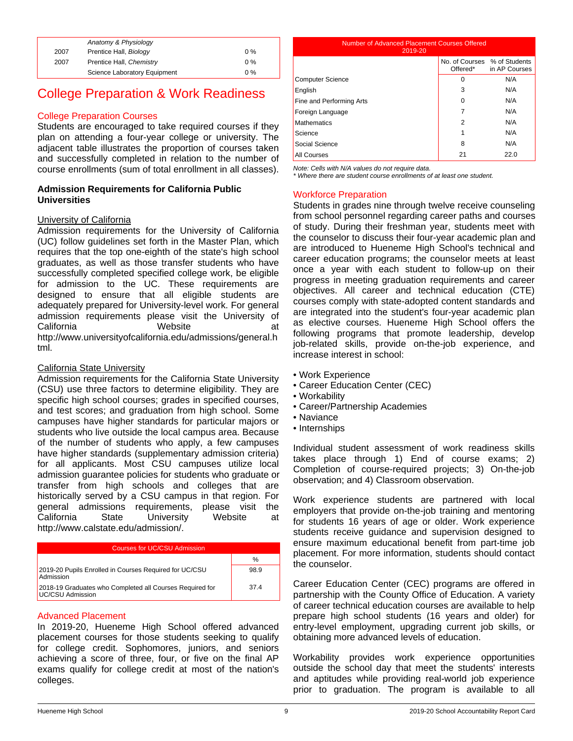|      | Anatomy & Physiology         |       |
|------|------------------------------|-------|
| 2007 | Prentice Hall, Biology       | $0\%$ |
| 2007 | Prentice Hall, Chemistry     | $0\%$ |
|      | Science Laboratory Equipment | $0\%$ |

## College Preparation & Work Readiness

## College Preparation Courses

Students are encouraged to take required courses if they plan on attending a four-year college or university. The adjacent table illustrates the proportion of courses taken and successfully completed in relation to the number of course enrollments (sum of total enrollment in all classes).

#### **Admission Requirements for California Public Universities**

#### University of California

Admission requirements for the University of California (UC) follow guidelines set forth in the Master Plan, which requires that the top one-eighth of the state's high school graduates, as well as those transfer students who have successfully completed specified college work, be eligible for admission to the UC. These requirements are designed to ensure that all eligible students are adequately prepared for University-level work. For general admission requirements please visit the University of California Website at http://www.universityofcalifornia.edu/admissions/general.h tml.

#### California State University

Admission requirements for the California State University (CSU) use three factors to determine eligibility. They are specific high school courses; grades in specified courses, and test scores; and graduation from high school. Some campuses have higher standards for particular majors or students who live outside the local campus area. Because of the number of students who apply, a few campuses have higher standards (supplementary admission criteria) for all applicants. Most CSU campuses utilize local admission guarantee policies for students who graduate or transfer from high schools and colleges that are historically served by a CSU campus in that region. For general admissions requirements, please visit the California State University Website at http://www.calstate.edu/admission/.

| Courses for UC/CSU Admission                                                 |      |  |
|------------------------------------------------------------------------------|------|--|
|                                                                              | %    |  |
| 2019-20 Pupils Enrolled in Courses Required for UC/CSU<br>Admission          | 98.9 |  |
| 2018-19 Graduates who Completed all Courses Required for<br>UC/CSU Admission | 374  |  |

## Advanced Placement

In 2019-20, Hueneme High School offered advanced placement courses for those students seeking to qualify for college credit. Sophomores, juniors, and seniors achieving a score of three, four, or five on the final AP exams qualify for college credit at most of the nation's colleges.

| Number of Advanced Placement Courses Offered<br>2019-20 |                                          |               |  |  |
|---------------------------------------------------------|------------------------------------------|---------------|--|--|
|                                                         | No. of Courses % of Students<br>Offered* | in AP Courses |  |  |
| <b>Computer Science</b>                                 | 0                                        | N/A           |  |  |
| English                                                 | 3                                        | N/A           |  |  |
| Fine and Performing Arts                                | $\Omega$                                 | N/A           |  |  |
| Foreign Language                                        | 7                                        | N/A           |  |  |
| <b>Mathematics</b>                                      |                                          | N/A           |  |  |

Science N/A Social Science **8** N/A All Courses 22.0

*Note: Cells with N/A values do not require data.*

*\* Where there are student course enrollments of at least one student.*

### Workforce Preparation

Students in grades nine through twelve receive counseling from school personnel regarding career paths and courses of study. During their freshman year, students meet with the counselor to discuss their four-year academic plan and are introduced to Hueneme High School's technical and career education programs; the counselor meets at least once a year with each student to follow-up on their progress in meeting graduation requirements and career objectives. All career and technical education (CTE) courses comply with state-adopted content standards and are integrated into the student's four-year academic plan as elective courses. Hueneme High School offers the following programs that promote leadership, develop job-related skills, provide on-the-job experience, and increase interest in school:

- Work Experience
- Career Education Center (CEC)
- Workability
- Career/Partnership Academies
- Naviance
- Internships

Individual student assessment of work readiness skills takes place through 1) End of course exams; 2) Completion of course-required projects; 3) On-the-job observation; and 4) Classroom observation.

Work experience students are partnered with local employers that provide on-the-job training and mentoring for students 16 years of age or older. Work experience students receive guidance and supervision designed to ensure maximum educational benefit from part-time job placement. For more information, students should contact the counselor.

Career Education Center (CEC) programs are offered in partnership with the County Office of Education. A variety of career technical education courses are available to help prepare high school students (16 years and older) for entry-level employment, upgrading current job skills, or obtaining more advanced levels of education.

Workability provides work experience opportunities outside the school day that meet the students' interests and aptitudes while providing real-world job experience prior to graduation. The program is available to all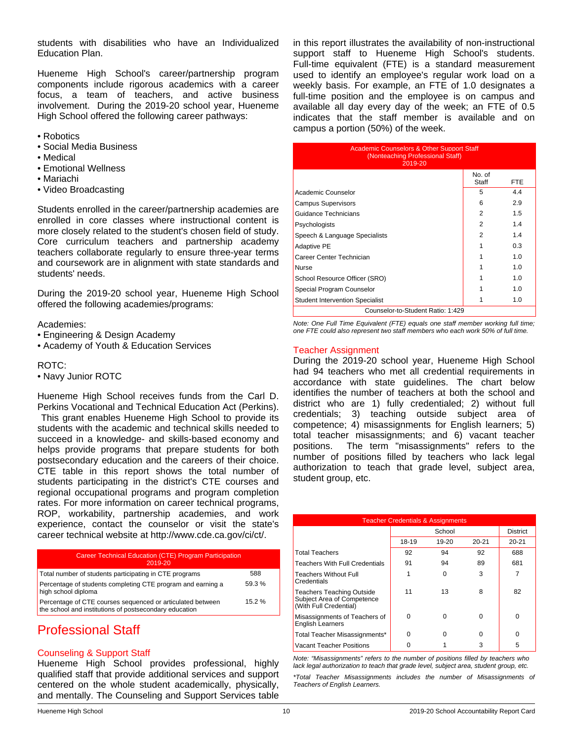students with disabilities who have an Individualized Education Plan.

Hueneme High School's career/partnership program components include rigorous academics with a career focus, a team of teachers, and active business involvement. During the 2019-20 school year, Hueneme High School offered the following career pathways:

- Robotics
- Social Media Business
- Medical
- Emotional Wellness
- Mariachi
- Video Broadcasting

Students enrolled in the career/partnership academies are enrolled in core classes where instructional content is more closely related to the student's chosen field of study. Core curriculum teachers and partnership academy teachers collaborate regularly to ensure three-year terms and coursework are in alignment with state standards and students' needs.

During the 2019-20 school year, Hueneme High School offered the following academies/programs:

#### Academies:

- Engineering & Design Academy
- Academy of Youth & Education Services

### ROTC:

• Navy Junior ROTC

Hueneme High School receives funds from the Carl D. Perkins Vocational and Technical Education Act (Perkins). This grant enables Hueneme High School to provide its students with the academic and technical skills needed to succeed in a knowledge- and skills-based economy and helps provide programs that prepare students for both postsecondary education and the careers of their choice. CTE table in this report shows the total number of students participating in the district's CTE courses and regional occupational programs and program completion rates. For more information on career technical programs, ROP, workability, partnership academies, and work experience, contact the counselor or visit the state's career technical website at http://www.cde.ca.gov/ci/ct/.

| Career Technical Education (CTE) Program Participation<br>2019-20                                                    |       |
|----------------------------------------------------------------------------------------------------------------------|-------|
| Total number of students participating in CTE programs                                                               | 588   |
| Percentage of students completing CTE program and earning a<br>high school diploma                                   | 59.3% |
| Percentage of CTE courses sequenced or articulated between<br>the school and institutions of postsecondary education | 15.2% |

# Professional Staff

### Counseling & Support Staff

Hueneme High School provides professional, highly qualified staff that provide additional services and support centered on the whole student academically, physically, and mentally. The Counseling and Support Services table

in this report illustrates the availability of non-instructional support staff to Hueneme High School's students. Full-time equivalent (FTE) is a standard measurement used to identify an employee's regular work load on a weekly basis. For example, an FTE of 1.0 designates a full-time position and the employee is on campus and available all day every day of the week; an FTE of 0.5 indicates that the staff member is available and on campus a portion (50%) of the week.

| <b>Academic Counselors &amp; Other Support Staff</b><br>(Nonteaching Professional Staff)<br>2019-20 |                 |      |  |  |
|-----------------------------------------------------------------------------------------------------|-----------------|------|--|--|
|                                                                                                     | No. of<br>Staff | FTE. |  |  |
| Academic Counselor                                                                                  | 5               | 4.4  |  |  |
| <b>Campus Supervisors</b>                                                                           | 6               | 2.9  |  |  |
| Guidance Technicians                                                                                | 2               | 1.5  |  |  |
| Psychologists                                                                                       | 2               | 1.4  |  |  |
| Speech & Language Specialists                                                                       | 2               | 1.4  |  |  |
| <b>Adaptive PE</b>                                                                                  |                 | 0.3  |  |  |
| Career Center Technician                                                                            |                 | 1.0  |  |  |
| Nurse                                                                                               |                 | 1.0  |  |  |
| School Resource Officer (SRO)                                                                       |                 | 1.0  |  |  |
| Special Program Counselor                                                                           |                 | 1.0  |  |  |
| <b>Student Intervention Specialist</b>                                                              |                 | 1.0  |  |  |
| Counselor-to-Student Ratio: 1:429                                                                   |                 |      |  |  |

*Note: One Full Time Equivalent (FTE) equals one staff member working full time; one FTE could also represent two staff members who each work 50% of full time.*

#### Teacher Assignment

During the 2019-20 school year, Hueneme High School had 94 teachers who met all credential requirements in accordance with state guidelines. The chart below identifies the number of teachers at both the school and district who are 1) fully credentialed; 2) without full credentials; 3) teaching outside subject area of competence; 4) misassignments for English learners; 5) total teacher misassignments; and 6) vacant teacher positions. The term "misassignments" refers to the number of positions filled by teachers who lack legal authorization to teach that grade level, subject area, student group, etc.

| <b>Teacher Credentials &amp; Assignments</b>                                      |        |           |           |                 |  |
|-----------------------------------------------------------------------------------|--------|-----------|-----------|-----------------|--|
|                                                                                   | School |           |           | <b>District</b> |  |
|                                                                                   | 18-19  | $19 - 20$ | $20 - 21$ | $20 - 21$       |  |
| Total Teachers                                                                    | 92     | 94        | 92        | 688             |  |
| Teachers With Full Credentials                                                    | 91     | 94        | 89        | 681             |  |
| <b>Teachers Without Full</b><br>Credentials                                       |        | 0         | 3         |                 |  |
| Teachers Teaching Outside<br>Subject Area of Competence<br>(With Full Credential) | 11     | 13        | 8         | 82              |  |
| Misassignments of Teachers of<br><b>English Learners</b>                          | 0      | O         | 0         | $\Omega$        |  |
| Total Teacher Misassignments*                                                     | ŋ      | 0         | 0         | $\Omega$        |  |
| Vacant Teacher Positions                                                          |        |           | 3         | 5               |  |

*Note: "Misassignments" refers to the number of positions filled by teachers who lack legal authorization to teach that grade level, subject area, student group, etc.*

*\*Total Teacher Misassignments includes the number of Misassignments of Teachers of English Learners.*